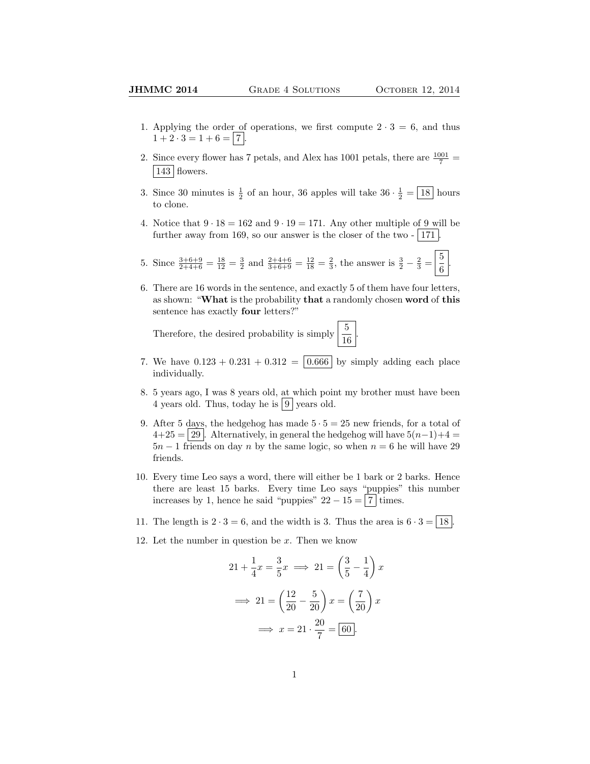- 1. Applying the order of operations, we first compute  $2 \cdot 3 = 6$ , and thus  $1 + 2 \cdot 3 = 1 + 6 = 7$ .
- 2. Since every flower has 7 petals, and Alex has 1001 petals, there are  $\frac{1001}{7}$  = | 143 | flowers.
- 3. Since 30 minutes is  $\frac{1}{2}$  of an hour, 36 apples will take  $36 \cdot \frac{1}{2} = \boxed{18}$  hours to clone.
- 4. Notice that  $9 \cdot 18 = 162$  and  $9 \cdot 19 = 171$ . Any other multiple of 9 will be further away from 169, so our answer is the closer of the two  $-$  171.

5. Since 
$$
\frac{3+6+9}{2+4+6} = \frac{18}{12} = \frac{3}{2}
$$
 and  $\frac{2+4+6}{3+6+9} = \frac{12}{18} = \frac{2}{3}$ , the answer is  $\frac{3}{2} - \frac{2}{3} = \frac{5}{6}$ .

6. There are 16 words in the sentence, and exactly 5 of them have four letters, as shown: "What is the probability that a randomly chosen word of this sentence has exactly four letters?"

Therefore, the desired probability is simply  $\frac{5}{16}$ .

- 7. We have  $0.123 + 0.231 + 0.312 = \boxed{0.666}$  by simply adding each place individually.
- 8. 5 years ago, I was 8 years old, at which point my brother must have been 4 years old. Thus, today he is  $|9|$  years old.
- 9. After 5 days, the hedgehog has made  $5 \cdot 5 = 25$  new friends, for a total of  $4+25 = 29$ . Alternatively, in general the hedgehog will have  $5(n-1)+4 = 4$  $5n-1$  friends on day n by the same logic, so when  $n=6$  he will have 29 friends.
- 10. Every time Leo says a word, there will either be 1 bark or 2 barks. Hence there are least 15 barks. Every time Leo says "puppies" this number increases by 1, hence he said "puppies"  $22 - 15 = 7$  times.
- 11. The length is  $2 \cdot 3 = 6$ , and the width is 3. Thus the area is  $6 \cdot 3 = |18|$ .
- 12. Let the number in question be  $x$ . Then we know

$$
21 + \frac{1}{4}x = \frac{3}{5}x \implies 21 = \left(\frac{3}{5} - \frac{1}{4}\right)x
$$

$$
\implies 21 = \left(\frac{12}{20} - \frac{5}{20}\right)x = \left(\frac{7}{20}\right)x
$$

$$
\implies x = 21 \cdot \frac{20}{7} = \boxed{60}.
$$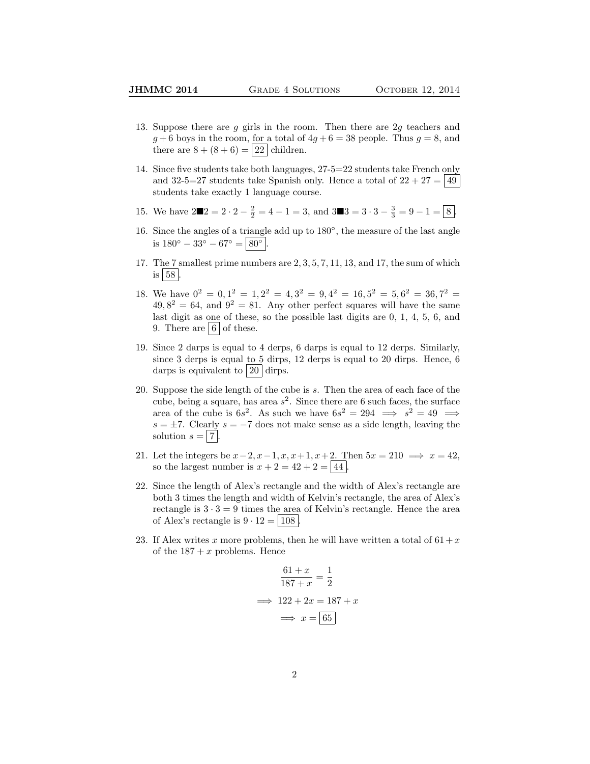- 13. Suppose there are  $g$  girls in the room. Then there are  $2g$  teachers and  $g + 6$  boys in the room, for a total of  $4g + 6 = 38$  people. Thus  $g = 8$ , and there are  $8 + (8 + 6) = 22$  children.
- 14. Since five students take both languages, 27-5=22 students take French only and 32-5=27 students take Spanish only. Hence a total of  $22 + 27 = |49|$ students take exactly 1 language course.
- 15. We have  $2\blacksquare 2 = 2 \cdot 2 \frac{2}{2} = 4 1 = 3$ , and  $3\blacksquare 3 = 3 \cdot 3 \frac{3}{3} = 9 1 = \boxed{8}$ .
- 16. Since the angles of a triangle add up to 180◦ , the measure of the last angle is  $180^{\circ} - 33^{\circ} - 67^{\circ} = | 80^{\circ} |$ .
- 17. The 7 smallest prime numbers are 2, 3, 5, 7, 11, 13, and 17, the sum of which is  $|58|$ .
- 18. We have  $0^2 = 0, 1^2 = 1, 2^2 = 4, 3^2 = 9, 4^2 = 16, 5^2 = 5, 6^2 = 36, 7^2 = 16$  $49,8^2 = 64$ , and  $9^2 = 81$ . Any other perfect squares will have the same last digit as one of these, so the possible last digits are 0, 1, 4, 5, 6, and 9. There are  $6 \mid 6 \mid$  of these.
- 19. Since 2 darps is equal to 4 derps, 6 darps is equal to 12 derps. Similarly, since 3 derps is equal to 5 dirps, 12 derps is equal to 20 dirps. Hence, 6 darps is equivalent to  $|20|$  dirps.
- 20. Suppose the side length of the cube is s. Then the area of each face of the cube, being a square, has area  $s^2$ . Since there are 6 such faces, the surface area of the cube is  $6s^2$ . As such we have  $6s^2 = 294 \implies s^2 = 49 \implies$  $s = \pm 7$ . Clearly  $s = -7$  does not make sense as a side length, leaving the solution  $s = |7|$
- 21. Let the integers be  $x-2$ ,  $x-1$ ,  $x$ ,  $x+1$ ,  $x+2$ . Then  $5x = 210 \implies x = 42$ , so the largest number is  $x + 2 = 42 + 2 = 44$ .
- 22. Since the length of Alex's rectangle and the width of Alex's rectangle are both 3 times the length and width of Kelvin's rectangle, the area of Alex's rectangle is  $3 \cdot 3 = 9$  times the area of Kelvin's rectangle. Hence the area of Alex's rectangle is  $9 \cdot 12 = | 108 |$ .
- 23. If Alex writes x more problems, then he will have written a total of  $61 + x$ of the  $187 + x$  problems. Hence

$$
\frac{61+x}{187+x} = \frac{1}{2}
$$

$$
\implies 122 + 2x = 187 + x
$$

$$
\implies x = \boxed{65}
$$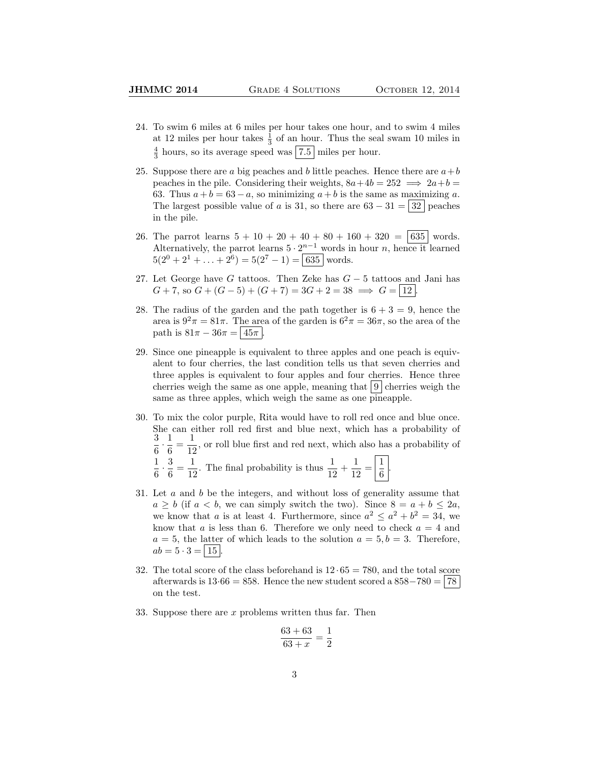- 24. To swim 6 miles at 6 miles per hour takes one hour, and to swim 4 miles at 12 miles per hour takes  $\frac{1}{3}$  of an hour. Thus the seal swam 10 miles in  $\frac{4}{3}$  hours, so its average speed was  $\boxed{7.5}$  miles per hour.
- 25. Suppose there are a big peaches and b little peaches. Hence there are  $a+b$ peaches in the pile. Considering their weights,  $8a+4b = 252 \implies 2a+b =$ 63. Thus  $a + b = 63 - a$ , so minimizing  $a + b$  is the same as maximizing a. The largest possible value of a is 31, so there are  $63 - 31 = |32|$  peaches in the pile.
- 26. The parrot learns  $5 + 10 + 20 + 40 + 80 + 160 + 320 = |635|$  words. Alternatively, the parrot learns  $5 \cdot 2^{n-1}$  words in hour n, hence it learned  $5(2^{0} + 2^{1} + ... + 2^{6}) = 5(2^{7} - 1) = | 635 |$  words.
- 27. Let George have G tattoos. Then Zeke has  $G-5$  tattoos and Jani has  $G + 7$ , so  $G + (G - 5) + (G + 7) = 3G + 2 = 38 \implies G = |12|$
- 28. The radius of the garden and the path together is  $6 + 3 = 9$ , hence the area is  $9^2 \pi = 81 \pi$ . The area of the garden is  $6^2 \pi = 36 \pi$ , so the area of the path is  $81\pi - 36\pi = |45\pi|$ .
- 29. Since one pineapple is equivalent to three apples and one peach is equivalent to four cherries, the last condition tells us that seven cherries and three apples is equivalent to four apples and four cherries. Hence three cherries weigh the same as one apple, meaning that  $|9|$  cherries weigh the same as three apples, which weigh the same as one pineapple.
- 30. To mix the color purple, Rita would have to roll red once and blue once. She can either roll red first and blue next, which has a probability of 3  $\frac{3}{6} \cdot \frac{1}{6}$  $\frac{1}{6} = \frac{1}{12}$  $\frac{1}{12}$ , or roll blue first and red next, which also has a probability of 1  $\frac{1}{6} \cdot \frac{3}{6}$  $\frac{3}{6} = \frac{1}{12}$  $\frac{1}{12}$ . The final probability is thus  $\frac{1}{12} + \frac{1}{12}$  $\frac{1}{12} = \left| \frac{1}{6} \right|$  $\frac{1}{6}$
- 31. Let  $a$  and  $b$  be the integers, and without loss of generality assume that  $a \geq b$  (if  $a < b$ , we can simply switch the two). Since  $8 = a + b \leq 2a$ , we know that a is at least 4. Furthermore, since  $a^2 \le a^2 + b^2 = 34$ , we know that a is less than 6. Therefore we only need to check  $a = 4$  and  $a = 5$ , the latter of which leads to the solution  $a = 5, b = 3$ . Therefore,  $ab = 5 \cdot 3 = | 15 |.$
- 32. The total score of the class beforehand is  $12 \cdot 65 = 780$ , and the total score afterwards is  $13.66 = 858$ . Hence the new student scored a  $858-780 = 78$ on the test.
- 33. Suppose there are x problems written thus far. Then

$$
\frac{63+63}{63+x} = \frac{1}{2}
$$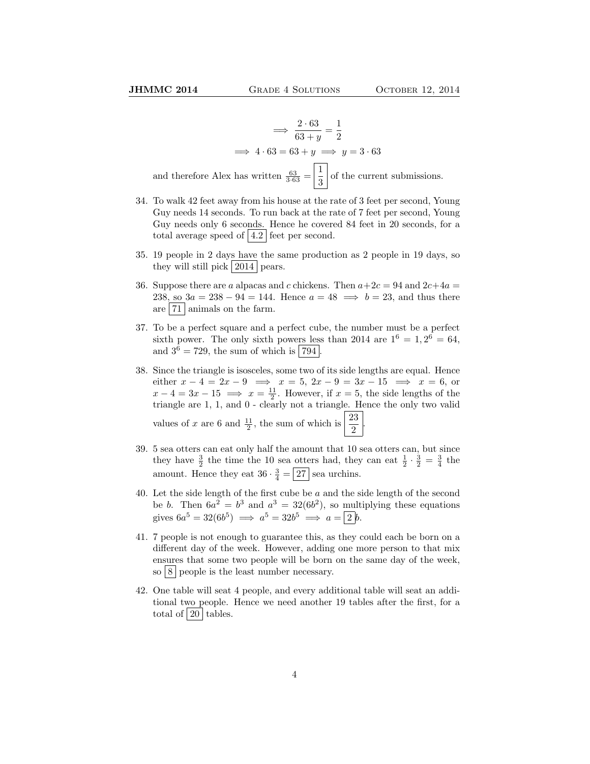$$
\implies \frac{2 \cdot 63}{63 + y} = \frac{1}{2}
$$
  

$$
\implies 4 \cdot 63 = 63 + y \implies y = 3 \cdot 63
$$
  
and therefore Alex has written  $\frac{63}{3 \cdot 63} = \boxed{\frac{1}{3}}$  of the current submissions.

- 34. To walk 42 feet away from his house at the rate of 3 feet per second, Young Guy needs 14 seconds. To run back at the rate of 7 feet per second, Young Guy needs only 6 seconds. Hence he covered 84 feet in 20 seconds, for a total average speed of  $|4.2|$  feet per second.
- 35. 19 people in 2 days have the same production as 2 people in 19 days, so they will still pick 2014 pears.
- 36. Suppose there are a alpacas and c chickens. Then  $a+2c = 94$  and  $2c+4a =$ 238, so  $3a = 238 - 94 = 144$ . Hence  $a = 48 \implies b = 23$ , and thus there are  $|71|$  animals on the farm.
- 37. To be a perfect square and a perfect cube, the number must be a perfect sixth power. The only sixth powers less than 2014 are  $1^6 = 1, 2^6 = 64,$ and  $3^6 = 729$ , the sum of which is  $794$ .
- 38. Since the triangle is isosceles, some two of its side lengths are equal. Hence either  $x - 4 = 2x - 9 \implies x = 5, 2x - 9 = 3x - 15 \implies x = 6$ , or  $x - 4 = 3x - 15 \implies x = \frac{11}{2}$ . However, if  $x = 5$ , the side lengths of the triangle are 1, 1, and 0 - clearly not a triangle. Hence the only two valid values of x are 6 and  $\frac{11}{2}$ , the sum of which is  $\frac{23}{2}$ .
- 39. 5 sea otters can eat only half the amount that 10 sea otters can, but since they have  $\frac{3}{2}$  the time the 10 sea otters had, they can eat  $\frac{1}{2} \cdot \frac{3}{2} = \frac{3}{4}$  the amount. Hence they eat  $36 \cdot \frac{3}{4} = 27$  sea urchins.
- 40. Let the side length of the first cube be  $a$  and the side length of the second be b. Then  $6a^2 = b^3$  and  $a^3 = 32(6b^2)$ , so multiplying these equations gives  $6a^5 = 32(6b^5) \implies a^5 = 32b^5 \implies a = 2b$ .
- 41. 7 people is not enough to guarantee this, as they could each be born on a different day of the week. However, adding one more person to that mix ensures that some two people will be born on the same day of the week, so  $8$  people is the least number necessary.
- 42. One table will seat 4 people, and every additional table will seat an additional two people. Hence we need another 19 tables after the first, for a total of  $|20|$  tables.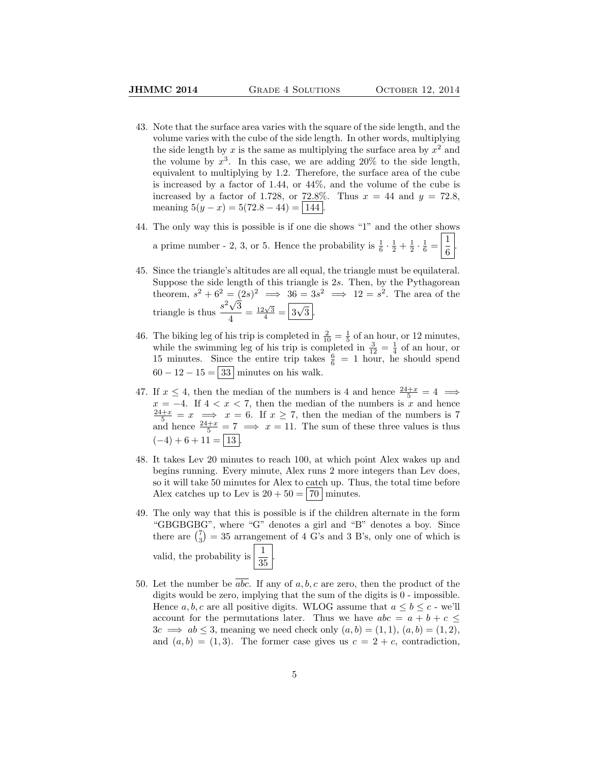- 43. Note that the surface area varies with the square of the side length, and the volume varies with the cube of the side length. In other words, multiplying the side length by x is the same as multiplying the surface area by  $x^2$  and the volume by  $x^3$ . In this case, we are adding 20% to the side length, equivalent to multiplying by 1.2. Therefore, the surface area of the cube is increased by a factor of 1.44, or 44%, and the volume of the cube is increased by a factor of 1.728, or 72.8%. Thus  $x = 44$  and  $y = 72.8$ , meaning  $5(y - x) = 5(72.8 - 44) = |144|$ .
- 44. The only way this is possible is if one die shows "1" and the other shows a prime number - 2, 3, or 5. Hence the probability is  $\frac{1}{6} \cdot \frac{1}{2} + \frac{1}{2} \cdot \frac{1}{6} = \frac{1}{6}$ 6 .
- 45. Since the triangle's altitudes are all equal, the triangle must be equilateral. Suppose the side length of this triangle is 2s. Then, by the Pythagorean theorem,  $s^2 + 6^2 = (2s)^2 \implies 36 = 3s^2 \implies 12 = s^2$ . The area of the triangle is thus  $\frac{s^2\sqrt{3}}{4}$  $\frac{\sqrt{3}}{4} = \frac{12\sqrt{3}}{4} = \boxed{3}$ √  $3$  .
- 46. The biking leg of his trip is completed in  $\frac{2}{10} = \frac{1}{5}$  of an hour, or 12 minutes, while the swimming leg of his trip is completed in  $\frac{3}{12} = \frac{1}{4}$  of an hour, or 15 minutes. Since the entire trip takes  $\frac{6}{6}$  = 1 hour, he should spend  $60 - 12 - 15 = 33$  minutes on his walk.
- 47. If  $x \leq 4$ , then the median of the numbers is 4 and hence  $\frac{24+x}{5} = 4 \implies$  $x = -4$ . If  $4 < x < 7$ , then the median of the numbers is x and hence  $\frac{24+x}{5} = x \implies x = 6$ . If  $x \ge 7$ , then the median of the numbers is 7 and hence  $\frac{24+x}{5} = 7 \implies x = 11$ . The sum of these three values is thus  $(-4) + 6 + 11 = | 13 |.$
- 48. It takes Lev 20 minutes to reach 100, at which point Alex wakes up and begins running. Every minute, Alex runs 2 more integers than Lev does, so it will take 50 minutes for Alex to catch up. Thus, the total time before Alex catches up to Lev is  $20 + 50 = 70$  minutes.
- 49. The only way that this is possible is if the children alternate in the form "GBGBGBG", where "G" denotes a girl and "B" denotes a boy. Since there are  $\binom{7}{3} = 35$  arrangement of 4 G's and 3 B's, only one of which is valid, the probability is  $\frac{1}{35}$ .
- 50. Let the number be  $\overline{abc}$ . If any of a, b, c are zero, then the product of the digits would be zero, implying that the sum of the digits is 0 - impossible. Hence a, b, c are all positive digits. WLOG assume that  $a \leq b \leq c$  - we'll account for the permutations later. Thus we have  $abc = a + b + c \leq$  $3c \implies ab \leq 3$ , meaning we need check only  $(a, b) = (1, 1), (a, b) = (1, 2),$ and  $(a, b) = (1, 3)$ . The former case gives us  $c = 2 + c$ , contradiction,